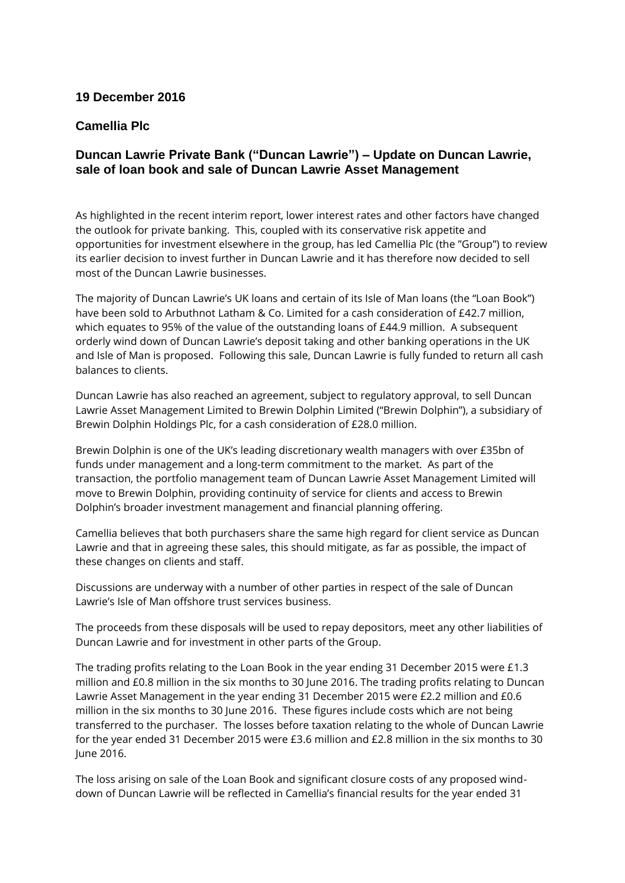## **19 December 2016**

## **Camellia Plc**

# **Duncan Lawrie Private Bank ("Duncan Lawrie") – Update on Duncan Lawrie, sale of loan book and sale of Duncan Lawrie Asset Management**

As highlighted in the recent interim report, lower interest rates and other factors have changed the outlook for private banking. This, coupled with its conservative risk appetite and opportunities for investment elsewhere in the group, has led Camellia Plc (the "Group") to review its earlier decision to invest further in Duncan Lawrie and it has therefore now decided to sell most of the Duncan Lawrie businesses.

The majority of Duncan Lawrie's UK loans and certain of its Isle of Man loans (the "Loan Book") have been sold to Arbuthnot Latham & Co. Limited for a cash consideration of £42.7 million, which equates to 95% of the value of the outstanding loans of £44.9 million. A subsequent orderly wind down of Duncan Lawrie's deposit taking and other banking operations in the UK and Isle of Man is proposed. Following this sale, Duncan Lawrie is fully funded to return all cash balances to clients.

Duncan Lawrie has also reached an agreement, subject to regulatory approval, to sell Duncan Lawrie Asset Management Limited to Brewin Dolphin Limited ("Brewin Dolphin"), a subsidiary of Brewin Dolphin Holdings Plc, for a cash consideration of £28.0 million.

Brewin Dolphin is one of the UK's leading discretionary wealth managers with over £35bn of funds under management and a long-term commitment to the market. As part of the transaction, the portfolio management team of Duncan Lawrie Asset Management Limited will move to Brewin Dolphin, providing continuity of service for clients and access to Brewin Dolphin's broader investment management and financial planning offering.

Camellia believes that both purchasers share the same high regard for client service as Duncan Lawrie and that in agreeing these sales, this should mitigate, as far as possible, the impact of these changes on clients and staff.

Discussions are underway with a number of other parties in respect of the sale of Duncan Lawrie's Isle of Man offshore trust services business.

The proceeds from these disposals will be used to repay depositors, meet any other liabilities of Duncan Lawrie and for investment in other parts of the Group.

The trading profits relating to the Loan Book in the year ending 31 December 2015 were £1.3 million and £0.8 million in the six months to 30 June 2016. The trading profits relating to Duncan Lawrie Asset Management in the year ending 31 December 2015 were £2.2 million and £0.6 million in the six months to 30 June 2016. These figures include costs which are not being transferred to the purchaser. The losses before taxation relating to the whole of Duncan Lawrie for the year ended 31 December 2015 were £3.6 million and £2.8 million in the six months to 30 June 2016.

The loss arising on sale of the Loan Book and significant closure costs of any proposed winddown of Duncan Lawrie will be reflected in Camellia's financial results for the year ended 31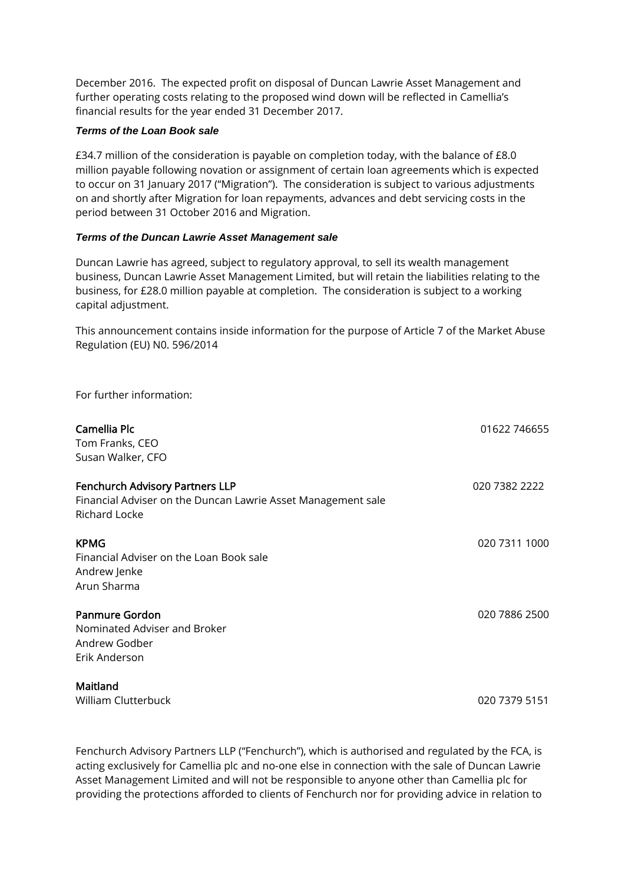December 2016. The expected profit on disposal of Duncan Lawrie Asset Management and further operating costs relating to the proposed wind down will be reflected in Camellia's financial results for the year ended 31 December 2017.

### *Terms of the Loan Book sale*

£34.7 million of the consideration is payable on completion today, with the balance of £8.0 million payable following novation or assignment of certain loan agreements which is expected to occur on 31 January 2017 ("Migration"). The consideration is subject to various adjustments on and shortly after Migration for loan repayments, advances and debt servicing costs in the period between 31 October 2016 and Migration.

### *Terms of the Duncan Lawrie Asset Management sale*

Duncan Lawrie has agreed, subject to regulatory approval, to sell its wealth management business, Duncan Lawrie Asset Management Limited, but will retain the liabilities relating to the business, for £28.0 million payable at completion. The consideration is subject to a working capital adjustment.

This announcement contains inside information for the purpose of Article 7 of the Market Abuse Regulation (EU) N0. 596/2014

For further information:

| Camellia Plc<br>Tom Franks, CEO<br>Susan Walker, CFO                                                                    | 01622 746655  |
|-------------------------------------------------------------------------------------------------------------------------|---------------|
| <b>Fenchurch Advisory Partners LLP</b><br>Financial Adviser on the Duncan Lawrie Asset Management sale<br>Richard Locke | 020 7382 2222 |
| <b>KPMG</b><br>Financial Adviser on the Loan Book sale<br>Andrew Jenke<br>Arun Sharma                                   | 020 7311 1000 |
| <b>Panmure Gordon</b><br>Nominated Adviser and Broker<br>Andrew Godber<br>Erik Anderson                                 | 020 7886 2500 |
| Maitland<br>William Clutterbuck                                                                                         | 020 7379 5151 |

Fenchurch Advisory Partners LLP ("Fenchurch"), which is authorised and regulated by the FCA, is acting exclusively for Camellia plc and no-one else in connection with the sale of Duncan Lawrie Asset Management Limited and will not be responsible to anyone other than Camellia plc for providing the protections afforded to clients of Fenchurch nor for providing advice in relation to